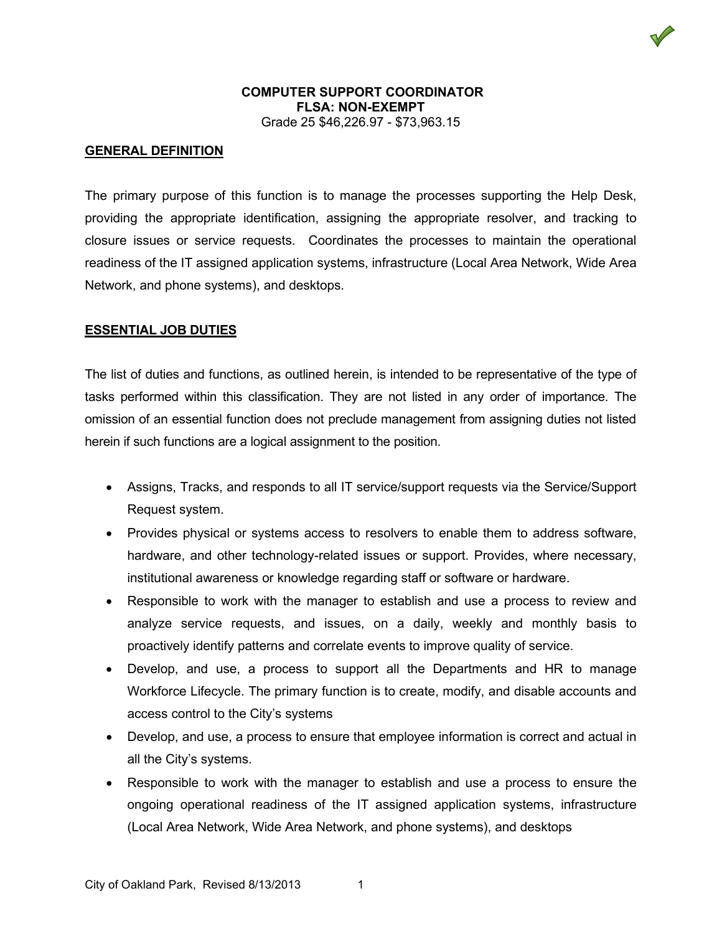#### **GENERAL DEFINITION**

The primary purpose of this function is to manage the processes supporting the Help Desk, providing the appropriate identification, assigning the appropriate resolver, and tracking to closure issues or service requests. Coordinates the processes to maintain the operational readiness of the IT assigned application systems, infrastructure (Local Area Network, Wide Area Network, and phone systems), and desktops.

#### **ESSENTIAL JOB DUTIES**

The list of duties and functions, as outlined herein, is intended to be representative of the type of tasks performed within this classification. They are not listed in any order of importance. The omission of an essential function does not preclude management from assigning duties not listed herein if such functions are a logical assignment to the position.

- Assigns, Tracks, and responds to all IT service/support requests via the Service/Support Request system.
- Provides physical or systems access to resolvers to enable them to address software, hardware, and other technology-related issues or support. Provides, where necessary, institutional awareness or knowledge regarding staff or software or hardware.
- Responsible to work with the manager to establish and use a process to review and analyze service requests, and issues, on a daily, weekly and monthly basis to proactively identify patterns and correlate events to improve quality of service.
- Develop, and use, a process to support all the Departments and HR to manage Workforce Lifecycle. The primary function is to create, modify, and disable accounts and access control to the City's systems
- Develop, and use, a process to ensure that employee information is correct and actual in all the City's systems.
- Responsible to work with the manager to establish and use a process to ensure the ongoing operational readiness of the IT assigned application systems, infrastructure (Local Area Network, Wide Area Network, and phone systems), and desktops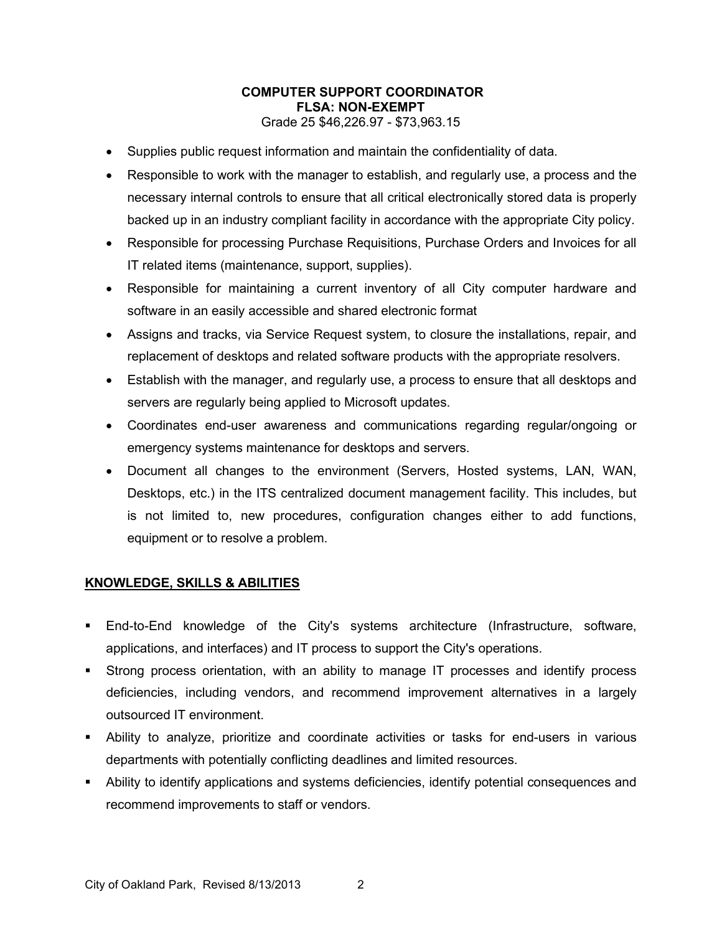- Supplies public request information and maintain the confidentiality of data.
- Responsible to work with the manager to establish, and regularly use, a process and the necessary internal controls to ensure that all critical electronically stored data is properly backed up in an industry compliant facility in accordance with the appropriate City policy.
- Responsible for processing Purchase Requisitions, Purchase Orders and Invoices for all IT related items (maintenance, support, supplies).
- Responsible for maintaining a current inventory of all City computer hardware and software in an easily accessible and shared electronic format
- Assigns and tracks, via Service Request system, to closure the installations, repair, and replacement of desktops and related software products with the appropriate resolvers.
- Establish with the manager, and regularly use, a process to ensure that all desktops and servers are regularly being applied to Microsoft updates.
- Coordinates end-user awareness and communications regarding regular/ongoing or emergency systems maintenance for desktops and servers.
- Document all changes to the environment (Servers, Hosted systems, LAN, WAN, Desktops, etc.) in the ITS centralized document management facility. This includes, but is not limited to, new procedures, configuration changes either to add functions, equipment or to resolve a problem.

## **KNOWLEDGE, SKILLS & ABILITIES**

- End-to-End knowledge of the City's systems architecture (Infrastructure, software, applications, and interfaces) and IT process to support the City's operations.
- Strong process orientation, with an ability to manage IT processes and identify process deficiencies, including vendors, and recommend improvement alternatives in a largely outsourced IT environment.
- Ability to analyze, prioritize and coordinate activities or tasks for end-users in various departments with potentially conflicting deadlines and limited resources.
- Ability to identify applications and systems deficiencies, identify potential consequences and recommend improvements to staff or vendors.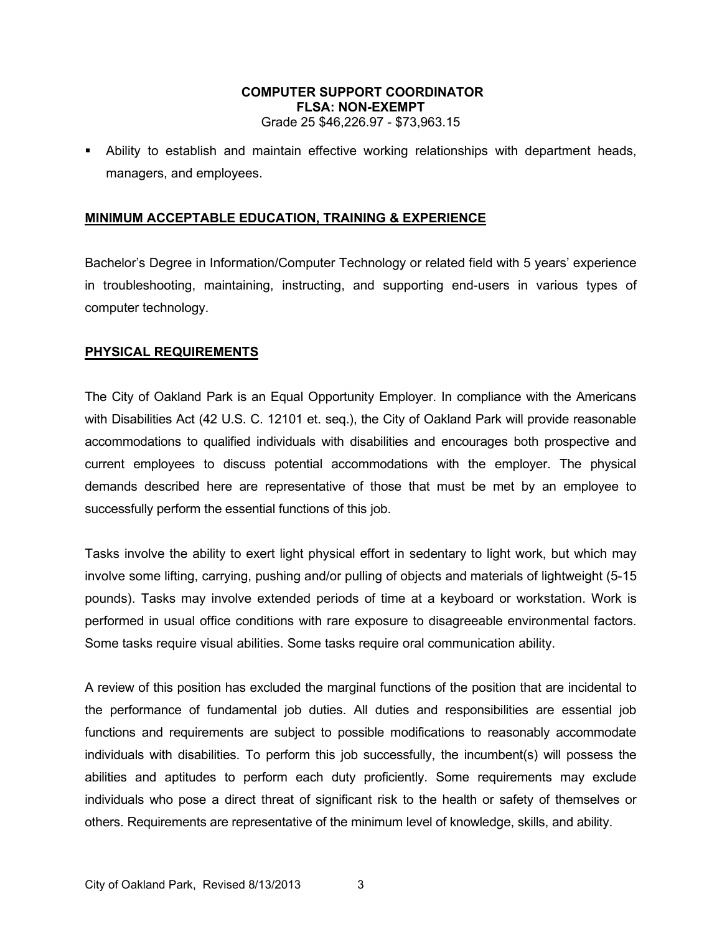Ability to establish and maintain effective working relationships with department heads, managers, and employees.

# **MINIMUM ACCEPTABLE EDUCATION, TRAINING & EXPERIENCE**

Bachelor's Degree in Information/Computer Technology or related field with 5 years' experience in troubleshooting, maintaining, instructing, and supporting end-users in various types of computer technology.

#### **PHYSICAL REQUIREMENTS**

The City of Oakland Park is an Equal Opportunity Employer. In compliance with the Americans with Disabilities Act (42 U.S. C. 12101 et. seq.), the City of Oakland Park will provide reasonable accommodations to qualified individuals with disabilities and encourages both prospective and current employees to discuss potential accommodations with the employer. The physical demands described here are representative of those that must be met by an employee to successfully perform the essential functions of this job.

Tasks involve the ability to exert light physical effort in sedentary to light work, but which may involve some lifting, carrying, pushing and/or pulling of objects and materials of lightweight (5-15 pounds). Tasks may involve extended periods of time at a keyboard or workstation. Work is performed in usual office conditions with rare exposure to disagreeable environmental factors. Some tasks require visual abilities. Some tasks require oral communication ability.

A review of this position has excluded the marginal functions of the position that are incidental to the performance of fundamental job duties. All duties and responsibilities are essential job functions and requirements are subject to possible modifications to reasonably accommodate individuals with disabilities. To perform this job successfully, the incumbent(s) will possess the abilities and aptitudes to perform each duty proficiently. Some requirements may exclude individuals who pose a direct threat of significant risk to the health or safety of themselves or others. Requirements are representative of the minimum level of knowledge, skills, and ability.